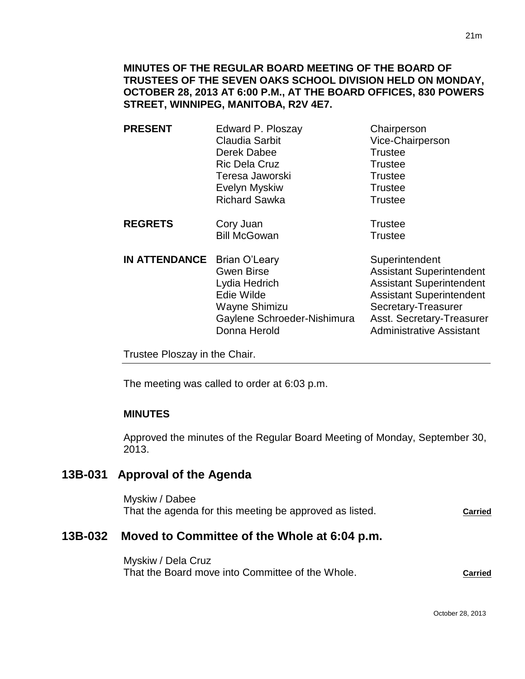| <b>PRESENT</b>       | Edward P. Ploszay<br>Claudia Sarbit<br>Derek Dabee<br><b>Ric Dela Cruz</b><br>Teresa Jaworski<br>Evelyn Myskiw<br><b>Richard Sawka</b> | Chairperson<br>Vice-Chairperson<br><b>Trustee</b><br><b>Trustee</b><br><b>Trustee</b><br><b>Trustee</b><br><b>Trustee</b> |
|----------------------|----------------------------------------------------------------------------------------------------------------------------------------|---------------------------------------------------------------------------------------------------------------------------|
| <b>REGRETS</b>       | Cory Juan<br><b>Bill McGowan</b>                                                                                                       | <b>Trustee</b><br><b>Trustee</b>                                                                                          |
| <b>IN ATTENDANCE</b> | <b>Brian O'Leary</b><br><b>Gwen Birse</b><br>Lydia Hedrich<br>Edie Wilde                                                               | Superintendent<br><b>Assistant Superintendent</b><br><b>Assistant Superintendent</b><br><b>Assistant Superintendent</b>   |

Trustee Ploszay in the Chair.

The meeting was called to order at 6:03 p.m.

# **MINUTES**

Approved the minutes of the Regular Board Meeting of Monday, September 30, 2013.

Wayne Shimizu Secretary-Treasurer

Gaylene Schroeder-Nishimura Asst. Secretary-Treasurer Donna Herold **Administrative Assistant** 

# **13B-031 Approval of the Agenda**

Myskiw / Dabee That the agenda for this meeting be approved as listed. **Carried**

# **13B-032 Moved to Committee of the Whole at 6:04 p.m.**

Myskiw / Dela Cruz That the Board move into Committee of the Whole. **Carried**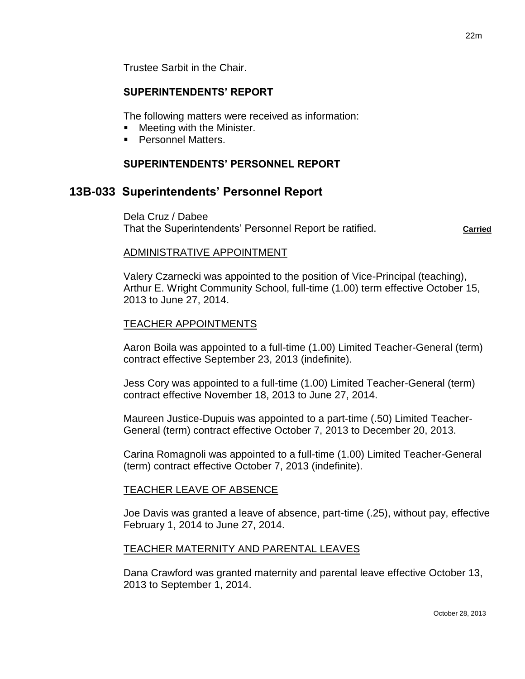## **SUPERINTENDENTS' REPORT**

The following matters were received as information:

- Meeting with the Minister.
- **Personnel Matters.**

## **SUPERINTENDENTS' PERSONNEL REPORT**

# **13B-033 Superintendents' Personnel Report**

Dela Cruz / Dabee That the Superintendents' Personnel Report be ratified. **Carried**

### ADMINISTRATIVE APPOINTMENT

Valery Czarnecki was appointed to the position of Vice-Principal (teaching), Arthur E. Wright Community School, full-time (1.00) term effective October 15, 2013 to June 27, 2014.

## TEACHER APPOINTMENTS

Aaron Boila was appointed to a full-time (1.00) Limited Teacher-General (term) contract effective September 23, 2013 (indefinite).

Jess Cory was appointed to a full-time (1.00) Limited Teacher-General (term) contract effective November 18, 2013 to June 27, 2014.

Maureen Justice-Dupuis was appointed to a part-time (.50) Limited Teacher-General (term) contract effective October 7, 2013 to December 20, 2013.

Carina Romagnoli was appointed to a full-time (1.00) Limited Teacher-General (term) contract effective October 7, 2013 (indefinite).

## TEACHER LEAVE OF ABSENCE

Joe Davis was granted a leave of absence, part-time (.25), without pay, effective February 1, 2014 to June 27, 2014.

## TEACHER MATERNITY AND PARENTAL LEAVES

Dana Crawford was granted maternity and parental leave effective October 13, 2013 to September 1, 2014.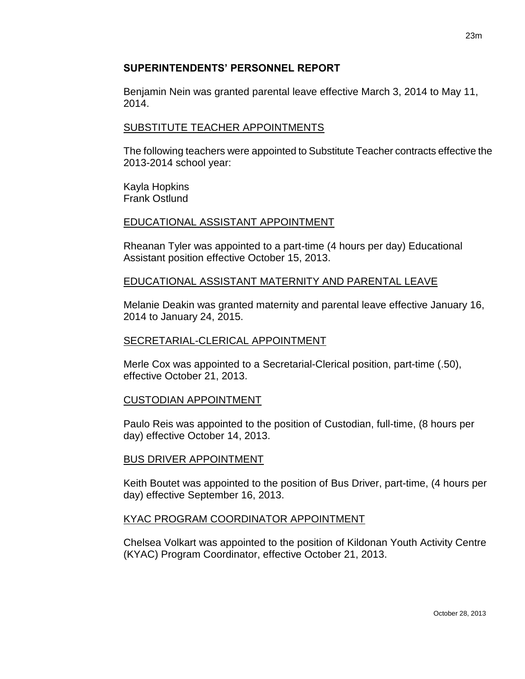## **SUPERINTENDENTS' PERSONNEL REPORT**

Benjamin Nein was granted parental leave effective March 3, 2014 to May 11, 2014.

## SUBSTITUTE TEACHER APPOINTMENTS

The following teachers were appointed to Substitute Teacher contracts effective the 2013-2014 school year:

Kayla Hopkins Frank Ostlund

### EDUCATIONAL ASSISTANT APPOINTMENT

Rheanan Tyler was appointed to a part-time (4 hours per day) Educational Assistant position effective October 15, 2013.

### EDUCATIONAL ASSISTANT MATERNITY AND PARENTAL LEAVE

Melanie Deakin was granted maternity and parental leave effective January 16, 2014 to January 24, 2015.

#### SECRETARIAL-CLERICAL APPOINTMENT

Merle Cox was appointed to a Secretarial-Clerical position, part-time (.50), effective October 21, 2013.

## CUSTODIAN APPOINTMENT

Paulo Reis was appointed to the position of Custodian, full-time, (8 hours per day) effective October 14, 2013.

## BUS DRIVER APPOINTMENT

Keith Boutet was appointed to the position of Bus Driver, part-time, (4 hours per day) effective September 16, 2013.

## KYAC PROGRAM COORDINATOR APPOINTMENT

Chelsea Volkart was appointed to the position of Kildonan Youth Activity Centre (KYAC) Program Coordinator, effective October 21, 2013.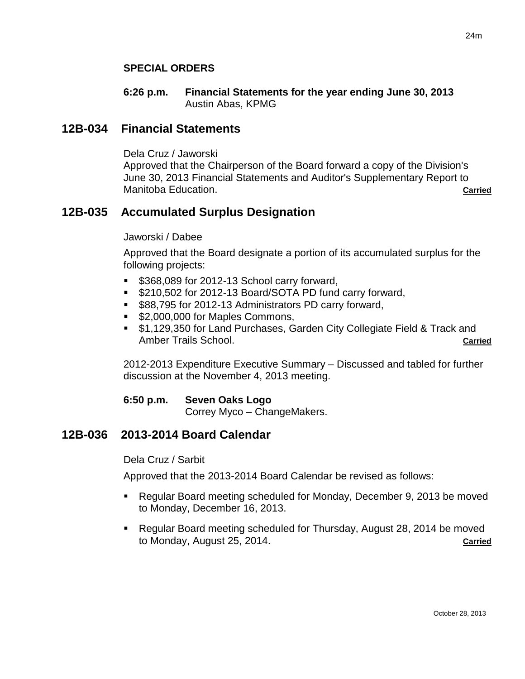### **SPECIAL ORDERS**

#### **6:26 p.m. Financial Statements for the year ending June 30, 2013** Austin Abas, KPMG

## **12B-034 Financial Statements**

Dela Cruz / Jaworski

Approved that the Chairperson of the Board forward a copy of the Division's June 30, 2013 Financial Statements and Auditor's Supplementary Report to Manitoba Education. **Carried**

## **12B-035 Accumulated Surplus Designation**

#### Jaworski / Dabee

Approved that the Board designate a portion of its accumulated surplus for the following projects:

- **5368,089 for 2012-13 School carry forward,**
- **\$210,502 for 2012-13 Board/SOTA PD fund carry forward,**
- **S88,795 for 2012-13 Administrators PD carry forward,**
- **\$2,000,000 for Maples Commons.**
- \$1,129,350 for Land Purchases, Garden City Collegiate Field & Track and Amber Trails School. **Carried Carried Carried Carried Carried Carried Carried**

2012-2013 Expenditure Executive Summary – Discussed and tabled for further discussion at the November 4, 2013 meeting.

**6:50 p.m. Seven Oaks Logo** Correy Myco – ChangeMakers.

## **12B-036 2013-2014 Board Calendar**

Dela Cruz / Sarbit

Approved that the 2013-2014 Board Calendar be revised as follows:

- Regular Board meeting scheduled for Monday, December 9, 2013 be moved to Monday, December 16, 2013.
- Regular Board meeting scheduled for Thursday, August 28, 2014 be moved to Monday, August 25, 2014. **Carried**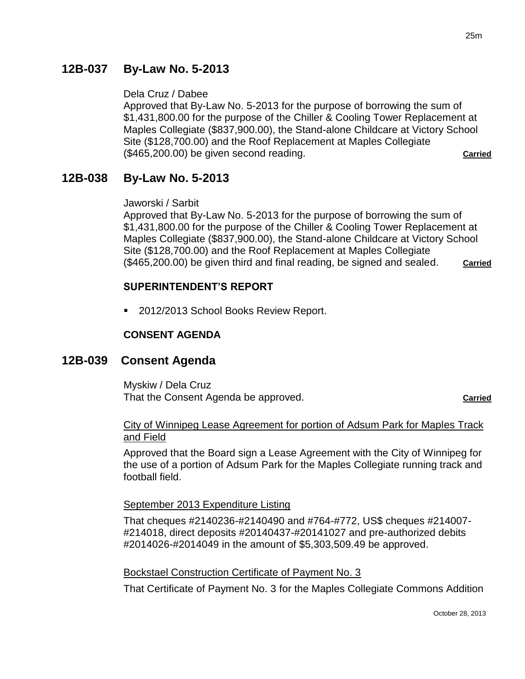# **12B-037 By-Law No. 5-2013**

### Dela Cruz / Dabee

Approved that By-Law No. 5-2013 for the purpose of borrowing the sum of \$1,431,800.00 for the purpose of the Chiller & Cooling Tower Replacement at Maples Collegiate (\$837,900.00), the Stand-alone Childcare at Victory School Site (\$128,700.00) and the Roof Replacement at Maples Collegiate (\$465,200.00) be given second reading. **Carried**

# **12B-038 By-Law No. 5-2013**

#### Jaworski / Sarbit

Approved that By-Law No. 5-2013 for the purpose of borrowing the sum of \$1,431,800.00 for the purpose of the Chiller & Cooling Tower Replacement at Maples Collegiate (\$837,900.00), the Stand-alone Childcare at Victory School Site (\$128,700.00) and the Roof Replacement at Maples Collegiate (\$465,200.00) be given third and final reading, be signed and sealed. **Carried**

### **SUPERINTENDENT'S REPORT**

2012/2013 School Books Review Report.

#### **CONSENT AGENDA**

## **12B-039 Consent Agenda**

Myskiw / Dela Cruz That the Consent Agenda be approved. **Carried**

### City of Winnipeg Lease Agreement for portion of Adsum Park for Maples Track and Field

Approved that the Board sign a Lease Agreement with the City of Winnipeg for the use of a portion of Adsum Park for the Maples Collegiate running track and football field.

#### September 2013 Expenditure Listing

That cheques #2140236-#2140490 and #764-#772, US\$ cheques #214007- #214018, direct deposits #20140437-#20141027 and pre-authorized debits #2014026-#2014049 in the amount of \$5,303,509.49 be approved.

#### Bockstael Construction Certificate of Payment No. 3

That Certificate of Payment No. 3 for the Maples Collegiate Commons Addition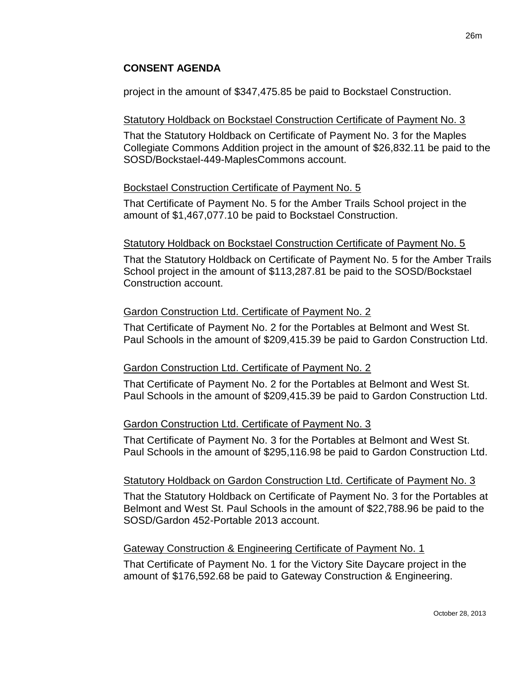## **CONSENT AGENDA**

project in the amount of \$347,475.85 be paid to Bockstael Construction.

## Statutory Holdback on Bockstael Construction Certificate of Payment No. 3

That the Statutory Holdback on Certificate of Payment No. 3 for the Maples Collegiate Commons Addition project in the amount of \$26,832.11 be paid to the SOSD/Bockstael-449-MaplesCommons account.

## Bockstael Construction Certificate of Payment No. 5

That Certificate of Payment No. 5 for the Amber Trails School project in the amount of \$1,467,077.10 be paid to Bockstael Construction.

## Statutory Holdback on Bockstael Construction Certificate of Payment No. 5

That the Statutory Holdback on Certificate of Payment No. 5 for the Amber Trails School project in the amount of \$113,287.81 be paid to the SOSD/Bockstael Construction account.

## Gardon Construction Ltd. Certificate of Payment No. 2

That Certificate of Payment No. 2 for the Portables at Belmont and West St. Paul Schools in the amount of \$209,415.39 be paid to Gardon Construction Ltd.

# Gardon Construction Ltd. Certificate of Payment No. 2

That Certificate of Payment No. 2 for the Portables at Belmont and West St. Paul Schools in the amount of \$209,415.39 be paid to Gardon Construction Ltd.

# Gardon Construction Ltd. Certificate of Payment No. 3

That Certificate of Payment No. 3 for the Portables at Belmont and West St. Paul Schools in the amount of \$295,116.98 be paid to Gardon Construction Ltd.

## Statutory Holdback on Gardon Construction Ltd. Certificate of Payment No. 3

That the Statutory Holdback on Certificate of Payment No. 3 for the Portables at Belmont and West St. Paul Schools in the amount of \$22,788.96 be paid to the SOSD/Gardon 452-Portable 2013 account.

## Gateway Construction & Engineering Certificate of Payment No. 1

That Certificate of Payment No. 1 for the Victory Site Daycare project in the amount of \$176,592.68 be paid to Gateway Construction & Engineering.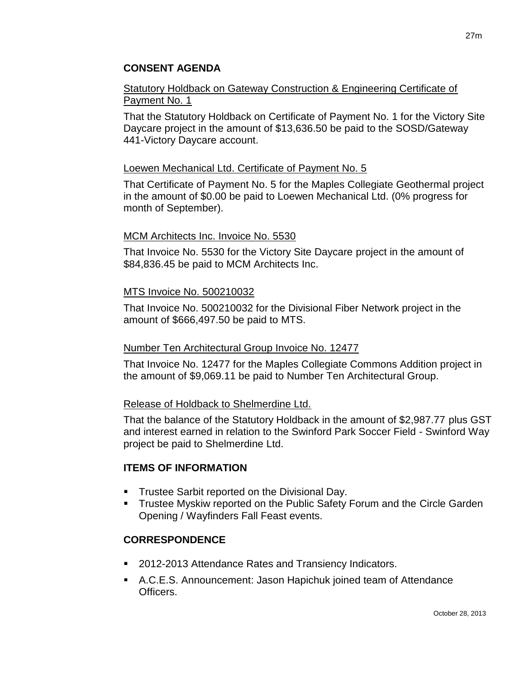## **CONSENT AGENDA**

## Statutory Holdback on Gateway Construction & Engineering Certificate of Payment No. 1

That the Statutory Holdback on Certificate of Payment No. 1 for the Victory Site Daycare project in the amount of \$13,636.50 be paid to the SOSD/Gateway 441-Victory Daycare account.

## Loewen Mechanical Ltd. Certificate of Payment No. 5

That Certificate of Payment No. 5 for the Maples Collegiate Geothermal project in the amount of \$0.00 be paid to Loewen Mechanical Ltd. (0% progress for month of September).

## MCM Architects Inc. Invoice No. 5530

That Invoice No. 5530 for the Victory Site Daycare project in the amount of \$84,836.45 be paid to MCM Architects Inc.

## MTS Invoice No. 500210032

That Invoice No. 500210032 for the Divisional Fiber Network project in the amount of \$666,497.50 be paid to MTS.

## Number Ten Architectural Group Invoice No. 12477

That Invoice No. 12477 for the Maples Collegiate Commons Addition project in the amount of \$9,069.11 be paid to Number Ten Architectural Group.

## Release of Holdback to Shelmerdine Ltd.

That the balance of the Statutory Holdback in the amount of \$2,987.77 plus GST and interest earned in relation to the Swinford Park Soccer Field - Swinford Way project be paid to Shelmerdine Ltd.

## **ITEMS OF INFORMATION**

- Trustee Sarbit reported on the Divisional Day.
- **Trustee Myskiw reported on the Public Safety Forum and the Circle Garden** Opening / Wayfinders Fall Feast events.

# **CORRESPONDENCE**

- 2012-2013 Attendance Rates and Transiency Indicators.
- A.C.E.S. Announcement: Jason Hapichuk joined team of Attendance Officers.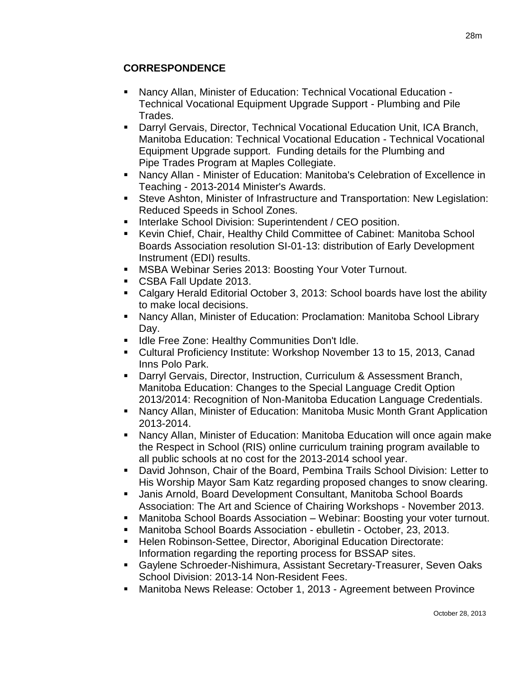# **CORRESPONDENCE**

- Nancy Allan, Minister of Education: Technical Vocational Education Technical Vocational Equipment Upgrade Support - Plumbing and Pile Trades.
- Darryl Gervais, Director, Technical Vocational Education Unit, ICA Branch, Manitoba Education: Technical Vocational Education - Technical Vocational Equipment Upgrade support. Funding details for the Plumbing and Pipe Trades Program at Maples Collegiate.
- Nancy Allan Minister of Education: Manitoba's Celebration of Excellence in Teaching - 2013-2014 Minister's Awards.
- Steve Ashton, Minister of Infrastructure and Transportation: New Legislation: Reduced Speeds in School Zones.
- **Interlake School Division: Superintendent / CEO position.**
- Kevin Chief, Chair, Healthy Child Committee of Cabinet: Manitoba School Boards Association resolution SI-01-13: distribution of Early Development Instrument (EDI) results.
- **MSBA Webinar Series 2013: Boosting Your Voter Turnout.**
- CSBA Fall Update 2013.
- Calgary Herald Editorial October 3, 2013: School boards have lost the ability to make local decisions.
- Nancy Allan, Minister of Education: Proclamation: Manitoba School Library Day.
- **If Idle Free Zone: Healthy Communities Don't Idle.**
- Cultural Proficiency Institute: Workshop November 13 to 15, 2013, Canad Inns Polo Park.
- Darryl Gervais, Director, Instruction, Curriculum & Assessment Branch, Manitoba Education: Changes to the Special Language Credit Option 2013/2014: Recognition of Non-Manitoba Education Language Credentials.
- Nancy Allan, Minister of Education: Manitoba Music Month Grant Application 2013-2014.
- Nancy Allan, Minister of Education: Manitoba Education will once again make the Respect in School (RIS) online curriculum training program available to all public schools at no cost for the 2013-2014 school year.
- David Johnson, Chair of the Board, Pembina Trails School Division: Letter to His Worship Mayor Sam Katz regarding proposed changes to snow clearing.
- Janis Arnold, Board Development Consultant, Manitoba School Boards Association: The Art and Science of Chairing Workshops - November 2013.
- Manitoba School Boards Association Webinar: Boosting your voter turnout.
- Manitoba School Boards Association ebulletin October, 23, 2013.
- **Helen Robinson-Settee, Director, Aboriginal Education Directorate:** Information regarding the reporting process for BSSAP sites.
- Gaylene Schroeder-Nishimura, Assistant Secretary-Treasurer, Seven Oaks School Division: 2013-14 Non-Resident Fees.
- Manitoba News Release: October 1, 2013 Agreement between Province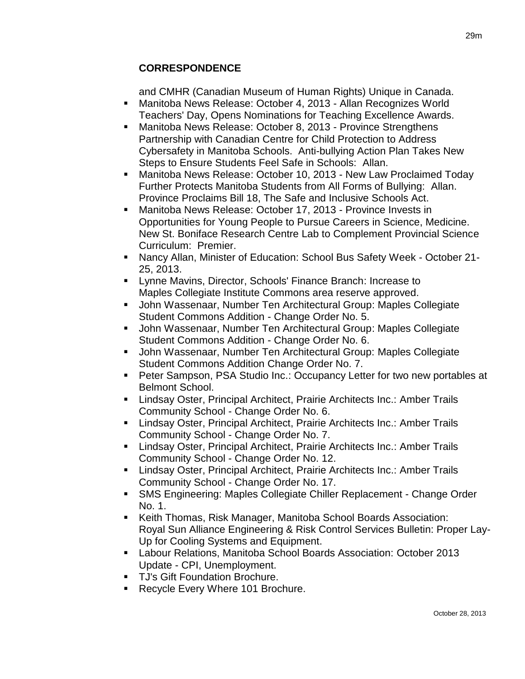# **CORRESPONDENCE**

and CMHR (Canadian Museum of Human Rights) Unique in Canada.

- Manitoba News Release: October 4, 2013 Allan Recognizes World Teachers' Day, Opens Nominations for Teaching Excellence Awards.
- Manitoba News Release: October 8, 2013 Province Strengthens Partnership with Canadian Centre for Child Protection to Address Cybersafety in Manitoba Schools. Anti-bullying Action Plan Takes New Steps to Ensure Students Feel Safe in Schools: Allan.
- Manitoba News Release: October 10, 2013 New Law Proclaimed Today Further Protects Manitoba Students from All Forms of Bullying: Allan. Province Proclaims Bill 18, The Safe and Inclusive Schools Act.
- Manitoba News Release: October 17, 2013 Province Invests in Opportunities for Young People to Pursue Careers in Science, Medicine. New St. Boniface Research Centre Lab to Complement Provincial Science Curriculum: Premier.
- Nancy Allan, Minister of Education: School Bus Safety Week October 21- 25, 2013.
- Lynne Mavins, Director, Schools' Finance Branch: Increase to Maples Collegiate Institute Commons area reserve approved.
- John Wassenaar, Number Ten Architectural Group: Maples Collegiate Student Commons Addition - Change Order No. 5.
- John Wassenaar, Number Ten Architectural Group: Maples Collegiate Student Commons Addition - Change Order No. 6.
- John Wassenaar, Number Ten Architectural Group: Maples Collegiate Student Commons Addition Change Order No. 7.
- Peter Sampson, PSA Studio Inc.: Occupancy Letter for two new portables at Belmont School.
- Lindsay Oster, Principal Architect, Prairie Architects Inc.: Amber Trails Community School - Change Order No. 6.
- **E.** Lindsay Oster, Principal Architect, Prairie Architects Inc.: Amber Trails Community School - Change Order No. 7.
- **E.** Lindsay Oster, Principal Architect, Prairie Architects Inc.: Amber Trails Community School - Change Order No. 12.
- Lindsay Oster, Principal Architect, Prairie Architects Inc.: Amber Trails Community School - Change Order No. 17.
- SMS Engineering: Maples Collegiate Chiller Replacement Change Order No. 1.
- Keith Thomas, Risk Manager, Manitoba School Boards Association: Royal Sun Alliance Engineering & Risk Control Services Bulletin: Proper Lay-Up for Cooling Systems and Equipment.
- Labour Relations, Manitoba School Boards Association: October 2013 Update - CPI, Unemployment.
- **TJ's Gift Foundation Brochure.**
- Recycle Every Where 101 Brochure.